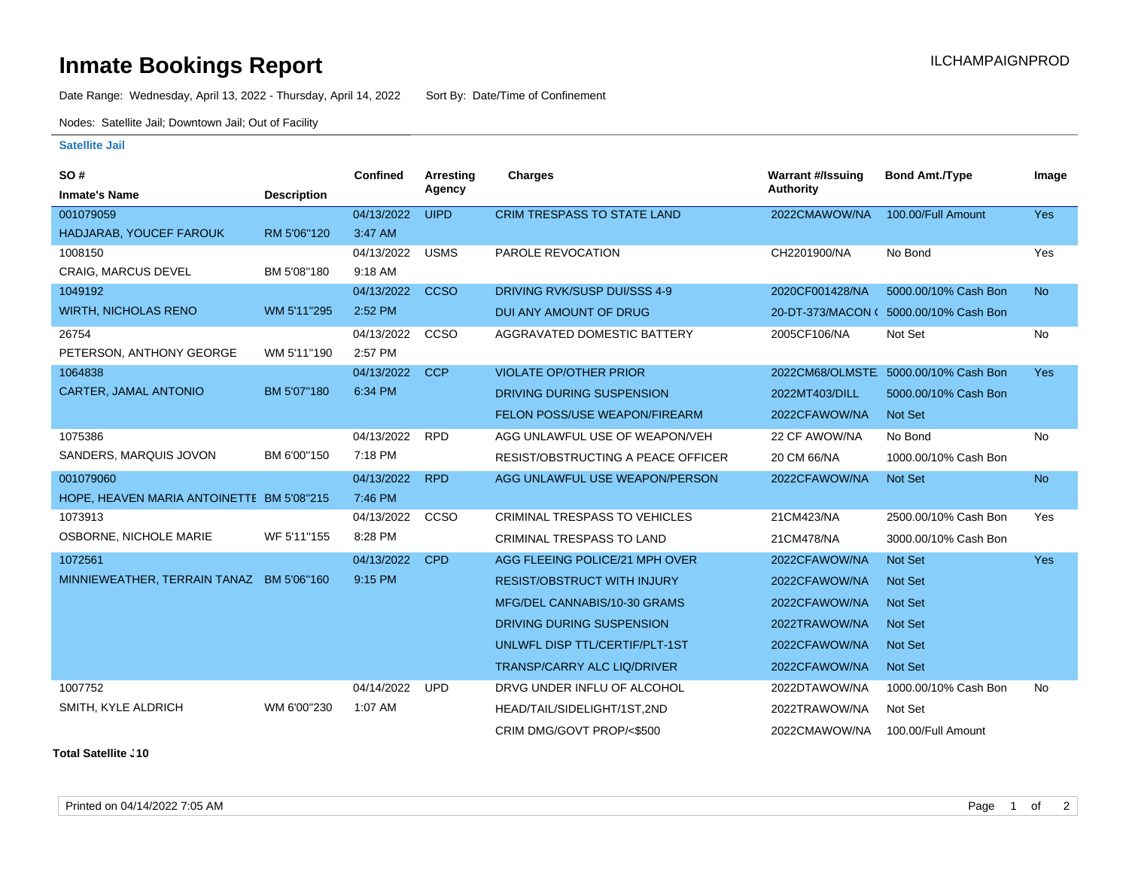## **Inmate Bookings Report Inmate Bookings Report**

Date Range: Wednesday, April 13, 2022 - Thursday, April 14, 2022 Sort By: Date/Time of Confinement

Nodes: Satellite Jail; Downtown Jail; Out of Facility

## **Satellite Jail**

| SO#                                       |                    | Confined   | <b>Arresting</b> | Charges                              | <b>Warrant #/Issuing</b> | <b>Bond Amt./Type</b>                  | Image      |
|-------------------------------------------|--------------------|------------|------------------|--------------------------------------|--------------------------|----------------------------------------|------------|
| <b>Inmate's Name</b>                      | <b>Description</b> |            | Agency           |                                      | <b>Authority</b>         |                                        |            |
| 001079059                                 |                    | 04/13/2022 | <b>UIPD</b>      | <b>CRIM TRESPASS TO STATE LAND</b>   | 2022CMAWOW/NA            | 100.00/Full Amount                     | Yes        |
| HADJARAB, YOUCEF FAROUK                   | RM 5'06"120        | 3:47 AM    |                  |                                      |                          |                                        |            |
| 1008150                                   |                    | 04/13/2022 | <b>USMS</b>      | PAROLE REVOCATION                    | CH2201900/NA             | No Bond                                | Yes        |
| <b>CRAIG, MARCUS DEVEL</b>                | BM 5'08"180        | 9:18 AM    |                  |                                      |                          |                                        |            |
| 1049192                                   |                    | 04/13/2022 | <b>CCSO</b>      | DRIVING RVK/SUSP DUI/SSS 4-9         | 2020CF001428/NA          | 5000.00/10% Cash Bon                   | <b>No</b>  |
| <b>WIRTH, NICHOLAS RENO</b>               | WM 5'11"295        | 2:52 PM    |                  | DUI ANY AMOUNT OF DRUG               |                          | 20-DT-373/MACON ( 5000.00/10% Cash Bon |            |
| 26754                                     |                    | 04/13/2022 | CCSO             | AGGRAVATED DOMESTIC BATTERY          | 2005CF106/NA             | Not Set                                | <b>No</b>  |
| PETERSON, ANTHONY GEORGE                  | WM 5'11"190        | 2:57 PM    |                  |                                      |                          |                                        |            |
| 1064838                                   |                    | 04/13/2022 | <b>CCP</b>       | <b>VIOLATE OP/OTHER PRIOR</b>        |                          | 2022CM68/OLMSTE 5000.00/10% Cash Bon   | <b>Yes</b> |
| <b>CARTER, JAMAL ANTONIO</b>              | BM 5'07"180        | 6:34 PM    |                  | DRIVING DURING SUSPENSION            | 2022MT403/DILL           | 5000.00/10% Cash Bon                   |            |
|                                           |                    |            |                  | FELON POSS/USE WEAPON/FIREARM        | 2022CFAWOW/NA            | Not Set                                |            |
| 1075386                                   |                    | 04/13/2022 | <b>RPD</b>       | AGG UNLAWFUL USE OF WEAPON/VEH       | 22 CF AWOW/NA            | No Bond                                | No         |
| SANDERS, MARQUIS JOVON                    | BM 6'00"150        | 7:18 PM    |                  | RESIST/OBSTRUCTING A PEACE OFFICER   | 20 CM 66/NA              | 1000.00/10% Cash Bon                   |            |
| 001079060                                 |                    | 04/13/2022 | <b>RPD</b>       | AGG UNLAWFUL USE WEAPON/PERSON       | 2022CFAWOW/NA            | Not Set                                | <b>No</b>  |
| HOPE, HEAVEN MARIA ANTOINETTE BM 5'08"215 |                    | 7:46 PM    |                  |                                      |                          |                                        |            |
| 1073913                                   |                    | 04/13/2022 | <b>CCSO</b>      | <b>CRIMINAL TRESPASS TO VEHICLES</b> | 21CM423/NA               | 2500.00/10% Cash Bon                   | Yes        |
| OSBORNE, NICHOLE MARIE                    | WF 5'11"155        | 8:28 PM    |                  | <b>CRIMINAL TRESPASS TO LAND</b>     | 21CM478/NA               | 3000.00/10% Cash Bon                   |            |
| 1072561                                   |                    | 04/13/2022 | <b>CPD</b>       | AGG FLEEING POLICE/21 MPH OVER       | 2022CFAWOW/NA            | Not Set                                | <b>Yes</b> |
| MINNIEWEATHER, TERRAIN TANAZ BM 5'06"160  |                    | 9:15 PM    |                  | <b>RESIST/OBSTRUCT WITH INJURY</b>   | 2022CFAWOW/NA            | <b>Not Set</b>                         |            |
|                                           |                    |            |                  | MFG/DEL CANNABIS/10-30 GRAMS         | 2022CFAWOW/NA            | <b>Not Set</b>                         |            |
|                                           |                    |            |                  | DRIVING DURING SUSPENSION            | 2022TRAWOW/NA            | <b>Not Set</b>                         |            |
|                                           |                    |            |                  | UNLWFL DISP TTL/CERTIF/PLT-1ST       | 2022CFAWOW/NA            | <b>Not Set</b>                         |            |
|                                           |                    |            |                  | TRANSP/CARRY ALC LIQ/DRIVER          | 2022CFAWOW/NA            | Not Set                                |            |
| 1007752                                   |                    | 04/14/2022 | <b>UPD</b>       | DRVG UNDER INFLU OF ALCOHOL          | 2022DTAWOW/NA            | 1000.00/10% Cash Bon                   | <b>No</b>  |
| SMITH, KYLE ALDRICH                       | WM 6'00"230        | 1:07 AM    |                  | HEAD/TAIL/SIDELIGHT/1ST,2ND          | 2022TRAWOW/NA            | Not Set                                |            |
|                                           |                    |            |                  | CRIM DMG/GOVT PROP/<\$500            | 2022CMAWOW/NA            | 100.00/Full Amount                     |            |

**Total Satellite . 10**